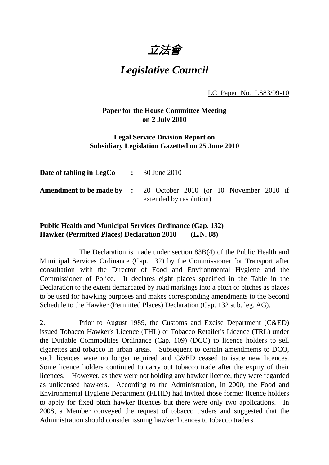立法會

## *Legislative Council*

LC Paper No. LS83/09-10

## **Paper for the House Committee Meeting on 2 July 2010**

## **Legal Service Division Report on Subsidiary Legislation Gazetted on 25 June 2010**

| <b>Date of tabling in LegCo</b> $\qquad$ $\qquad$ $\qquad$ $\qquad$ 30 June 2010 |                                                                                                     |
|----------------------------------------------------------------------------------|-----------------------------------------------------------------------------------------------------|
|                                                                                  | <b>Amendment to be made by :</b> 20 October 2010 (or 10 November 2010 if<br>extended by resolution) |

## **Public Health and Municipal Services Ordinance (Cap. 132) Hawker (Permitted Places) Declaration 2010 (L.N. 88)**

 The Declaration is made under section 83B(4) of the Public Health and Municipal Services Ordinance (Cap. 132) by the Commissioner for Transport after consultation with the Director of Food and Environmental Hygiene and the Commissioner of Police. It declares eight places specified in the Table in the Declaration to the extent demarcated by road markings into a pitch or pitches as places to be used for hawking purposes and makes corresponding amendments to the Second Schedule to the Hawker (Permitted Places) Declaration (Cap. 132 sub. leg. AG).

2. Prior to August 1989, the Customs and Excise Department (C&ED) issued Tobacco Hawker's Licence (THL) or Tobacco Retailer's Licence (TRL) under the Dutiable Commodities Ordinance (Cap. 109) (DCO) to licence holders to sell cigarettes and tobacco in urban areas. Subsequent to certain amendments to DCO, such licences were no longer required and C&ED ceased to issue new licences. Some licence holders continued to carry out tobacco trade after the expiry of their licences. However, as they were not holding any hawker licence, they were regarded as unlicensed hawkers. According to the Administration, in 2000, the Food and Environmental Hygiene Department (FEHD) had invited those former licence holders to apply for fixed pitch hawker licences but there were only two applications. In 2008, a Member conveyed the request of tobacco traders and suggested that the Administration should consider issuing hawker licences to tobacco traders.